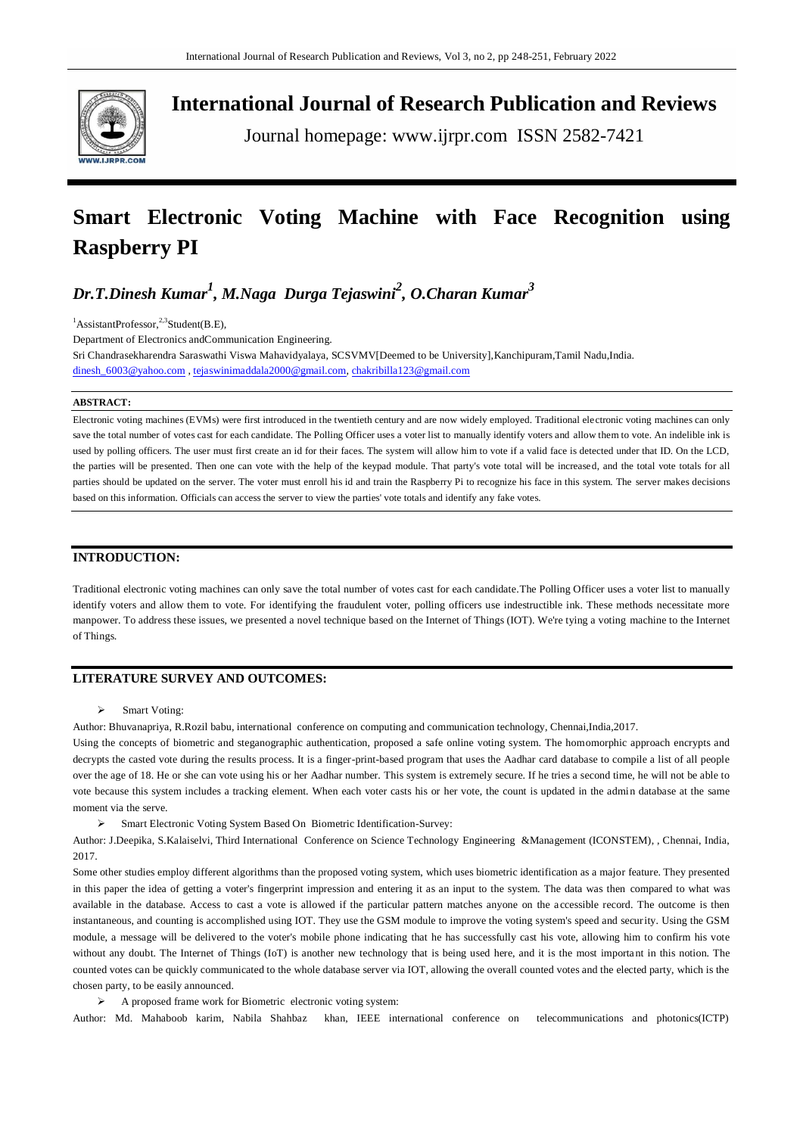

**International Journal of Research Publication and Reviews**

Journal homepage: www.ijrpr.com ISSN 2582-7421

# **Smart Electronic Voting Machine with Face Recognition using Raspberry PI**

*Dr.T.Dinesh Kumar<sup>1</sup> , M.Naga Durga Tejaswini<sup>2</sup> , O.Charan Kumar<sup>3</sup>*

 ${}^{1}$ AssistantProfessor,<sup>2,3</sup>Student(B.E),

Department of Electronics andCommunication Engineering.

Sri Chandrasekharendra Saraswathi Viswa Mahavidyalaya, SCSVMV[Deemed to be University],Kanchipuram,Tamil Nadu,India. [dinesh\\_6003@yahoo.com](mailto:dinesh_6003@yahoo.com) [, tejaswinimaddala2000@gmail.com,](mailto:tejaswinimaddala2000@gmail.com) [chakribilla123@gmail.com](mailto:chakribilla123@gmail.com)

### **ABSTRACT:**

Electronic voting machines (EVMs) were first introduced in the twentieth century and are now widely employed. Traditional electronic voting machines can only save the total number of votes cast for each candidate. The Polling Officer uses a voter list to manually identify voters and allow them to vote. An indelible ink is used by polling officers. The user must first create an id for their faces. The system will allow him to vote if a valid face is detected under that ID. On the LCD, the parties will be presented. Then one can vote with the help of the keypad module. That party's vote total will be increased, and the total vote totals for all parties should be updated on the server. The voter must enroll his id and train the Raspberry Pi to recognize his face in this system. The server makes decisions based on this information. Officials can access the server to view the parties' vote totals and identify any fake votes.

## **INTRODUCTION:**

Traditional electronic voting machines can only save the total number of votes cast for each candidate.The Polling Officer uses a voter list to manually identify voters and allow them to vote. For identifying the fraudulent voter, polling officers use indestructible ink. These methods necessitate more manpower. To address these issues, we presented a novel technique based on the Internet of Things (IOT). We're tying a voting machine to the Internet of Things.

## **LITERATURE SURVEY AND OUTCOMES:**

> Smart Voting:

Author: Bhuvanapriya, R.Rozil babu, international conference on computing and communication technology, Chennai,India,2017.

Using the concepts of biometric and steganographic authentication, proposed a safe online voting system. The homomorphic approach encrypts and decrypts the casted vote during the results process. It is a finger-print-based program that uses the Aadhar card database to compile a list of all people over the age of 18. He or she can vote using his or her Aadhar number. This system is extremely secure. If he tries a second time, he will not be able to vote because this system includes a tracking element. When each voter casts his or her vote, the count is updated in the admin database at the same moment via the serve.

Smart Electronic Voting System Based On Biometric Identification-Survey:

Author: J.Deepika, S.Kalaiselvi, Third International Conference on Science Technology Engineering &Management (ICONSTEM), , Chennai, India, 2017.

Some other studies employ different algorithms than the proposed voting system, which uses biometric identification as a major feature. They presented in this paper the idea of getting a voter's fingerprint impression and entering it as an input to the system. The data was then compared to what was available in the database. Access to cast a vote is allowed if the particular pattern matches anyone on the a ccessible record. The outcome is then instantaneous, and counting is accomplished using IOT. They use the GSM module to improve the voting system's speed and security. Using the GSM module, a message will be delivered to the voter's mobile phone indicating that he has successfully cast his vote, allowing him to confirm his vote without any doubt. The Internet of Things (IoT) is another new technology that is being used here, and it is the most important in this notion. The counted votes can be quickly communicated to the whole database server via IOT, allowing the overall counted votes and the elected party, which is the chosen party, to be easily announced.

A proposed frame work for Biometric electronic voting system:

Author: Md. Mahaboob karim, Nabila Shahbaz khan, IEEE international conference on telecommunications and photonics(ICTP)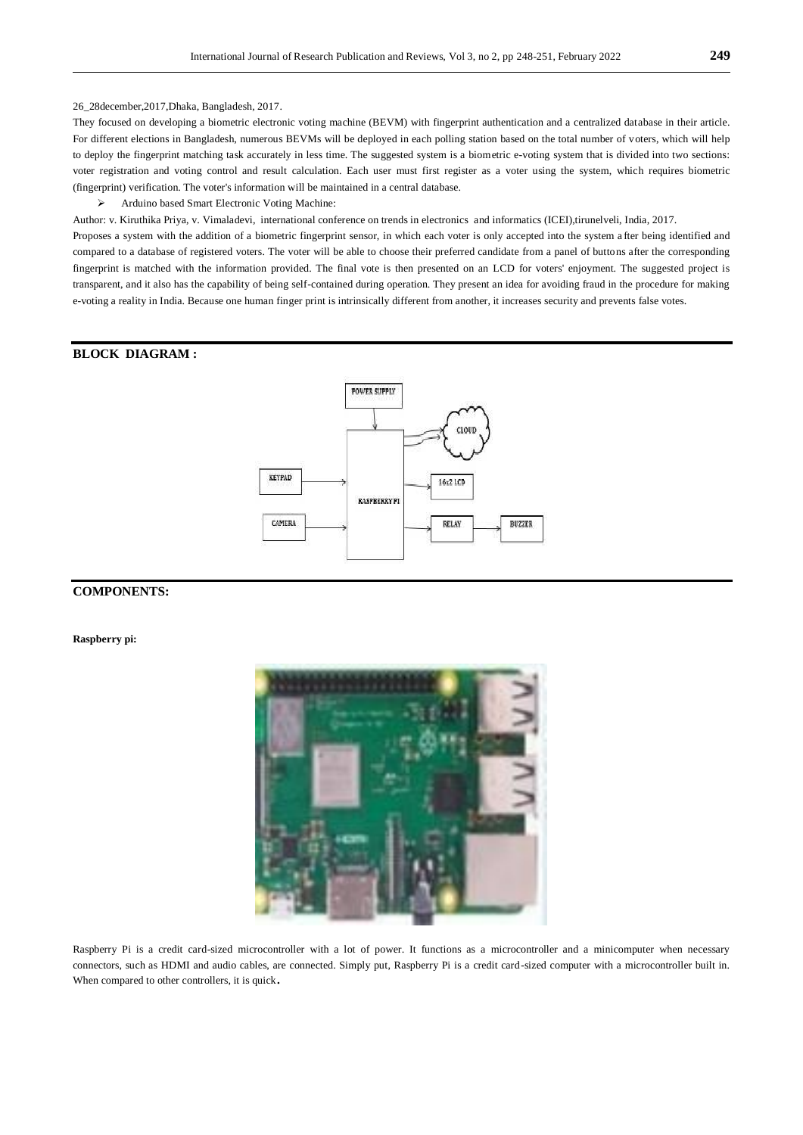### 26\_28december,2017,Dhaka, Bangladesh, 2017.

They focused on developing a biometric electronic voting machine (BEVM) with fingerprint authentication and a centralized database in their article. For different elections in Bangladesh, numerous BEVMs will be deployed in each polling station based on the total number of voters, which will help to deploy the fingerprint matching task accurately in less time. The suggested system is a biometric e-voting system that is divided into two sections: voter registration and voting control and result calculation. Each user must first register as a voter using the system, which requires biometric (fingerprint) verification. The voter's information will be maintained in a central database.

Arduino based Smart Electronic Voting Machine:

Author: v. Kiruthika Priya, v. Vimaladevi, international conference on trends in electronics and informatics (ICEI),tirunelveli, India, 2017.

Proposes a system with the addition of a biometric fingerprint sensor, in which each voter is only accepted into the system a fter being identified and compared to a database of registered voters. The voter will be able to choose their preferred candidate from a panel of buttons after the corresponding fingerprint is matched with the information provided. The final vote is then presented on an LCD for voters' enjoyment. The suggested project is transparent, and it also has the capability of being self-contained during operation. They present an idea for avoiding fraud in the procedure for making e-voting a reality in India. Because one human finger print is intrinsically different from another, it increases security and prevents false votes.

# **BLOCK DIAGRAM :**



## **COMPONENTS:**

**Raspberry pi:** 



Raspberry Pi is a credit card-sized microcontroller with a lot of power. It functions as a microcontroller and a minicomputer when necessary connectors, such as HDMI and audio cables, are connected. Simply put, Raspberry Pi is a credit card-sized computer with a microcontroller built in. When compared to other controllers, it is quick.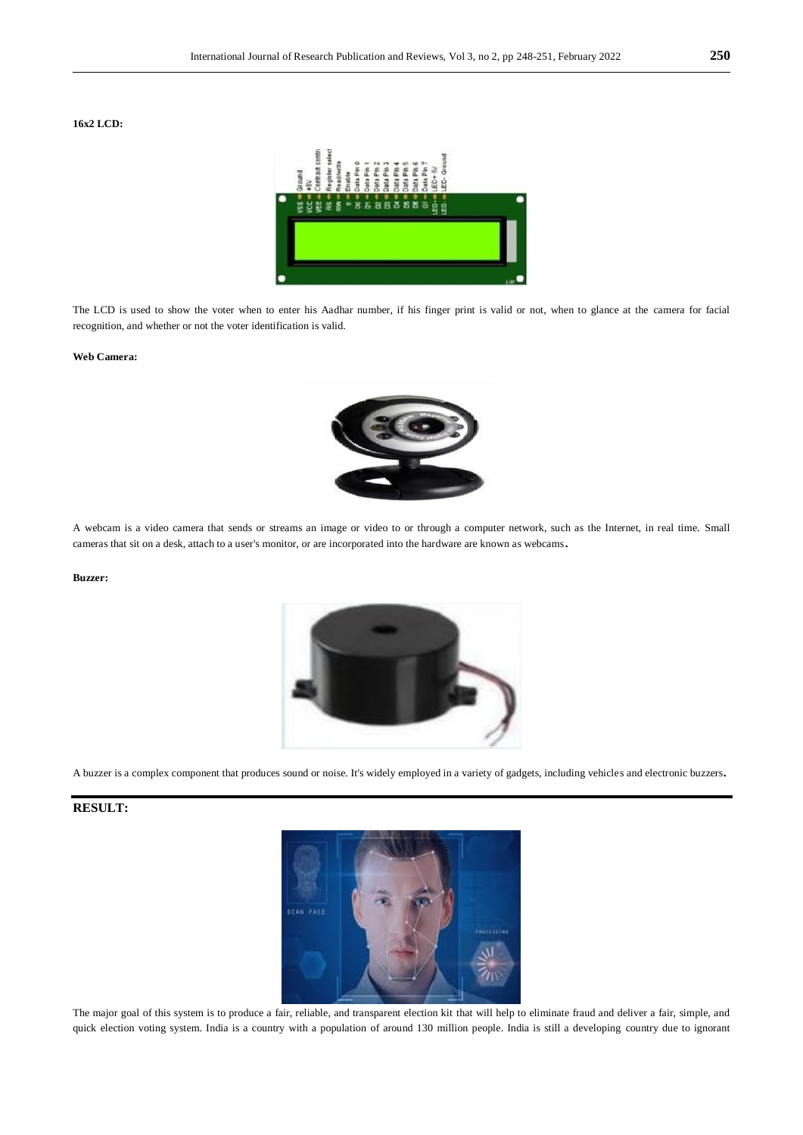## **16x2 LCD:**



The LCD is used to show the voter when to enter his Aadhar number, if his finger print is valid or not, when to glance at the camera for facial recognition, and whether or not the voter identification is valid.

#### **Web Camera:**



A webcam is a video camera that sends or streams an image or video to or through a computer network, such as the Internet, in real time. Small cameras that sit on a desk, attach to a user's monitor, or are incorporated into the hardware are known as webcams.

#### **Buzzer:**



A buzzer is a complex component that produces sound or noise. It's widely employed in a variety of gadgets, including vehicles and electronic buzzers.

# **RESULT:**



The major goal of this system is to produce a fair, reliable, and transparent election kit that will help to eliminate fraud and deliver a fair, simple, and quick election voting system. India is a country with a population of around 130 million people. India is still a developing country due to ignorant